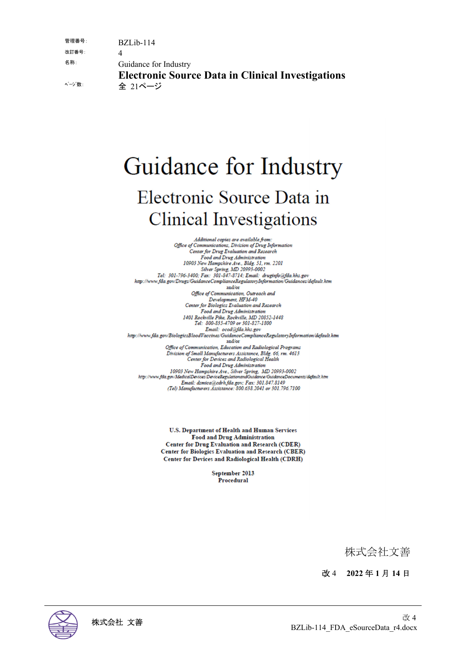| 管理番号:  | $BZLib-114$                                                         |
|--------|---------------------------------------------------------------------|
| 改訂番号:  |                                                                     |
| 名称:    | Guidance for Industry                                               |
| ページ 数: | <b>Electronic Source Data in Clinical Investigations</b><br>全 21ページ |

# Guidance for Industry Electronic Source Data in **Clinical Investigations**

Additional copies are available from:<br>Office of Communications, Division of Drug Information<br>Center for Drug Evaluation and Research<br>Food and Drug Administration<br>10903 New Hampshire Ave., Bldg. 51, rm. 2201<br>Silver Spring, http://www.fda.gov/Drugs/GuidanceComplianceRegulatoryInformation/Guidances/default.htm and/or Office of Communication, Outreach and טונט ו Diffee of Communication, Outreach<br>Development, HFM-40<br>Center for Biologics Evaluation and Research Food and Drug Administration<br>1401 Rockville Pike, Rockville, MD 20852-1448<br>Tel: 800-835-4709 or 301-827-1800 Email: ocod@fda.hhs.gov http://www.fda.gov/BiologicsBloodVaccines/GuidanceComplianceRegulatoryInformation/default.htm and/or Office of Communication, Education and Radiological Programs Division of Small Manufacturers Assistance, Bldg. 66, rm. 4613<br>Center for Devices and Radiological Health Food and Drug Administration 10903 New Hampshire Ave., Silver Spring, MD 20993-0002<br>http://www.fda.gov/MedicalDevices/DeviceRegulationandGuidance/GuidanceDocuments/default.htm Email: dsmica@cdrh.fda.gov; Fax: 301.847.8149 (Tel) Manufacturers Assistance: 800.638.2041 or 301.796.7100

> U.S. Department of Health and Human Services **Food and Drug Administration Center for Drug Evaluation and Research (CDER)** Center for Biologics Evaluation and Research (CBER) **Center for Devices and Radiological Health (CDRH)**

> > September 2013 Procedural

> > > 株式会社文善

改 4 **2022** 年 **1** 月 **14** 日

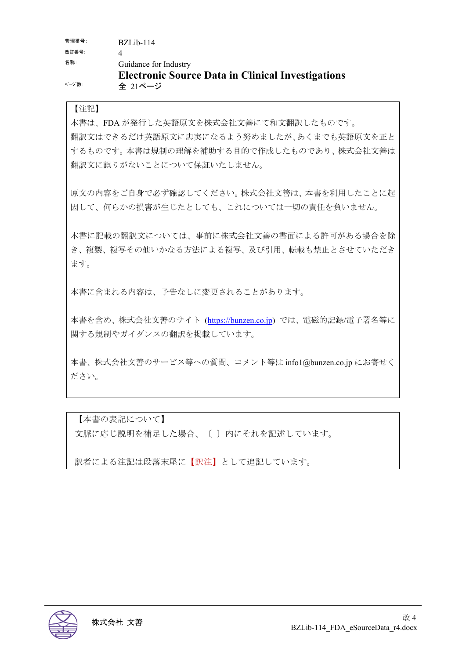| 管理番号:  | $BZLib-114$                                              |
|--------|----------------------------------------------------------|
| 改訂番号:  |                                                          |
| 名称:    | Guidance for Industry                                    |
|        | <b>Electronic Source Data in Clinical Investigations</b> |
| ページ 数: | 全 21ページ                                                  |

## 【注記】

本書は、FDA が発行した英語原文を株式会社文善にて和文翻訳したものです。 翻訳文はできるだけ英語原文に忠実になるよう努めましたが、あくまでも英語原文を正と するものです。本書は規制の理解を補助する目的で作成したものであり、株式会社文善は 翻訳文に誤りがないことについて保証いたしません。

原文の内容をご自身で必ず確認してください。株式会社文善は、本書を利用したことに起 因して、何らかの損害が生じたとしても、これについては一切の責任を負いません。

本書に記載の翻訳文については、事前に株式会社文善の書面による許可がある場合を除 き、複製、複写その他いかなる方法による複写、及び引用、転載も禁止とさせていただき ます。

本書に含まれる内容は、予告なしに変更されることがあります。

本書を含め、株式会社文善のサイト (https://bunzen.co.jp) では、電磁的記録/電子署名等に 関する規制やガイダンスの翻訳を掲載しています。

本書、株式会社文善のサービス等への質問、コメント等は info1@bunzen.co.jp にお寄せく ださい。

【本書の表記について】 文脈に応じ説明を補足した場合、〔 〕内にそれを記述しています。

訳者による注記は段落末尾に【訳注】として追記しています。

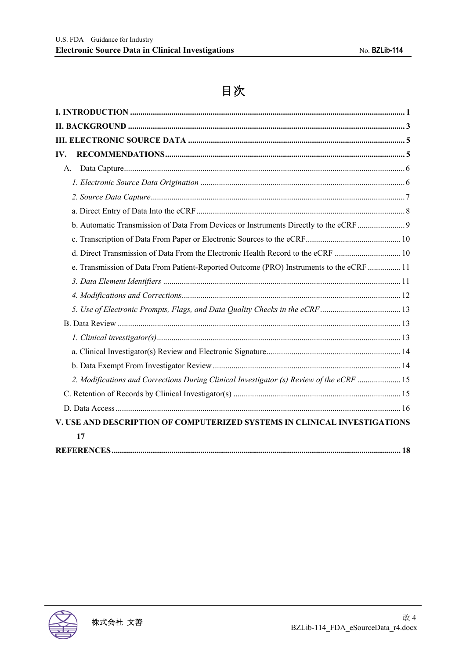# 目次

| IV.                                                                                      |  |
|------------------------------------------------------------------------------------------|--|
| A.                                                                                       |  |
|                                                                                          |  |
|                                                                                          |  |
|                                                                                          |  |
| b. Automatic Transmission of Data From Devices or Instruments Directly to the eCRF       |  |
|                                                                                          |  |
| d. Direct Transmission of Data From the Electronic Health Record to the eCRF  10         |  |
| e. Transmission of Data From Patient-Reported Outcome (PRO) Instruments to the eCRF  11  |  |
|                                                                                          |  |
|                                                                                          |  |
|                                                                                          |  |
|                                                                                          |  |
|                                                                                          |  |
|                                                                                          |  |
|                                                                                          |  |
| 2. Modifications and Corrections During Clinical Investigator (s) Review of the eCRF  15 |  |
|                                                                                          |  |
|                                                                                          |  |
| V. USE AND DESCRIPTION OF COMPUTERIZED SYSTEMS IN CLINICAL INVESTIGATIONS                |  |
| 17                                                                                       |  |
|                                                                                          |  |

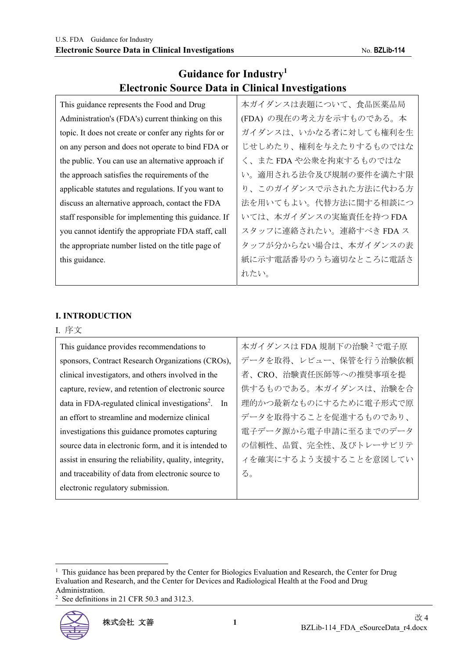# **Guidance for Industry<sup>1</sup> Electronic Source Data in Clinical Investigations**

| This guidance represents the Food and Drug            | 本ガイダンスは表題について、食品医薬品局    |
|-------------------------------------------------------|-------------------------|
| Administration's (FDA's) current thinking on this     | (FDA) の現在の考え方を示すものである。本 |
| topic. It does not create or confer any rights for or | ガイダンスは、いかなる者に対しても権利を生   |
| on any person and does not operate to bind FDA or     | じせしめたり、権利を与えたりするものではな   |
| the public. You can use an alternative approach if    | く、また FDA や公衆を拘束するものではな  |
| the approach satisfies the requirements of the        | い。適用される法令及び規制の要件を満たす限   |
| applicable statutes and regulations. If you want to   | り、このガイダンスで示された方法に代わる方   |
| discuss an alternative approach, contact the FDA      | 法を用いてもよい。代替方法に関する相談につ   |
| staff responsible for implementing this guidance. If  | いては、本ガイダンスの実施責任を持つFDA   |
| you cannot identify the appropriate FDA staff, call   | スタッフに連絡されたい。連絡すべき FDA ス |
| the appropriate number listed on the title page of    | タッフが分からない場合は、本ガイダンスの表   |
| this guidance.                                        | 紙に示す電話番号のうち適切なところに電話さ   |
|                                                       | れたい。                    |

#### **I. INTRODUCTION**

#### I. 序文

| This guidance provides recommendations to                       | 本ガイダンスは FDA 規制下の治験 <sup>2</sup> で電子原 |
|-----------------------------------------------------------------|--------------------------------------|
| sponsors, Contract Research Organizations (CROs),               | データを取得、レビュー、保管を行う治験依頼                |
| clinical investigators, and others involved in the              | 者、CRO、治験責任医師等への推奨事項を提                |
| capture, review, and retention of electronic source             | 供するものである。本ガイダンスは、治験を合                |
| data in FDA-regulated clinical investigations <sup>2</sup> . In | 理的かつ最新なものにするために電子形式で原                |
| an effort to streamline and modernize clinical                  | データを取得することを促進するものであり、                |
| investigations this guidance promotes capturing                 | 電子データ源から電子申請に至るまでのデータ                |
| source data in electronic form, and it is intended to           | の信頼性、品質、完全性、及びトレーサビリテ                |
| assist in ensuring the reliability, quality, integrity,         | イを確実にするよう支援することを意図してい                |
| and traceability of data from electronic source to              | る。                                   |
| electronic regulatory submission.                               |                                      |

<sup>2</sup> See definitions in 21 CFR 50.3 and 312.3.



<sup>&</sup>lt;sup>1</sup> This guidance has been prepared by the Center for Biologics Evaluation and Research, the Center for Drug Evaluation and Research, and the Center for Devices and Radiological Health at the Food and Drug Administration.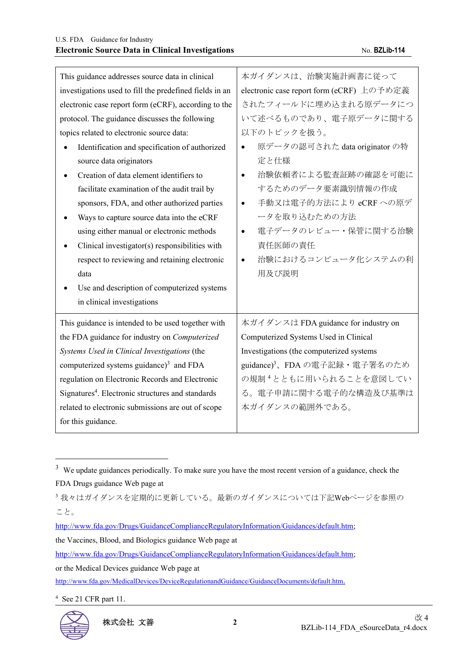| This guidance addresses source data in clinical               | 本ガイダンスは、治験実施計画書に従って                       |
|---------------------------------------------------------------|-------------------------------------------|
| investigations used to fill the predefined fields in an       | electronic case report form (eCRF) 上の予め定義 |
| electronic case report form (eCRF), according to the          | されたフィールドに埋め込まれる原データにつ                     |
| protocol. The guidance discusses the following                | いて述べるものであり、電子原データに関する                     |
| topics related to electronic source data:                     | 以下のトピックを扱う。                               |
| Identification and specification of authorized                | 原データの認可された data originator の特             |
| source data originators                                       | 定と仕様                                      |
| Creation of data element identifiers to                       | 治験依頼者による監査証跡の確認を可能に<br>$\bullet$          |
| facilitate examination of the audit trail by                  | するためのデータ要素識別情報の作成                         |
| sponsors, FDA, and other authorized parties                   | 手動又は電子的方法により eCRF への原デ<br>$\bullet$       |
| Ways to capture source data into the eCRF                     | ータを取り込むための方法                              |
| using either manual or electronic methods                     | 電子データのレビュー・保管に関する治験<br>$\bullet$          |
| Clinical investigator(s) responsibilities with                | 責任医師の責任                                   |
| respect to reviewing and retaining electronic                 | 治験におけるコンピュータ化システムの利<br>$\bullet$          |
| data                                                          | 用及び説明                                     |
| Use and description of computerized systems                   |                                           |
| in clinical investigations                                    |                                           |
| This guidance is intended to be used together with            | 本ガイダンスは FDA guidance for industry on      |
| the FDA guidance for industry on Computerized                 | Computerized Systems Used in Clinical     |
| Systems Used in Clinical Investigations (the                  | Investigations (the computerized systems  |
| computerized systems guidance) $3$ and FDA                    | guidance) <sup>3</sup> 、FDAの電子記録・電子署名のため  |
| regulation on Electronic Records and Electronic               | の規制 <sup>4</sup> とともに用いられることを意図してい        |
| Signatures <sup>4</sup> . Electronic structures and standards | る。電子申請に関する電子的な構造及び基準は                     |
| related to electronic submissions are out of scope            | 本ガイダンスの範囲外である。                            |
| for this guidance.                                            |                                           |

http://www.fda.gov/Drugs/GuidanceComplianceRegulatoryInformation/Guidances/default.htm; the Vaccines, Blood, and Biologics guidance Web page at http://www.fda.gov/Drugs/GuidanceComplianceRegulatoryInformation/Guidances/default.htm; or the Medical Devices guidance Web page at http://www.fda.gov/MedicalDevices/DeviceRegulationandGuidance/GuidanceDocuments/default.htm.

4 See 21 CFR part 11.



<sup>&</sup>lt;sup>3</sup> We update guidances periodically. To make sure you have the most recent version of a guidance, check the FDA Drugs guidance Web page at

<sup>3</sup>我々はガイダンスを定期的に更新している。最新のガイダンスについては下記Webページを参照の こと。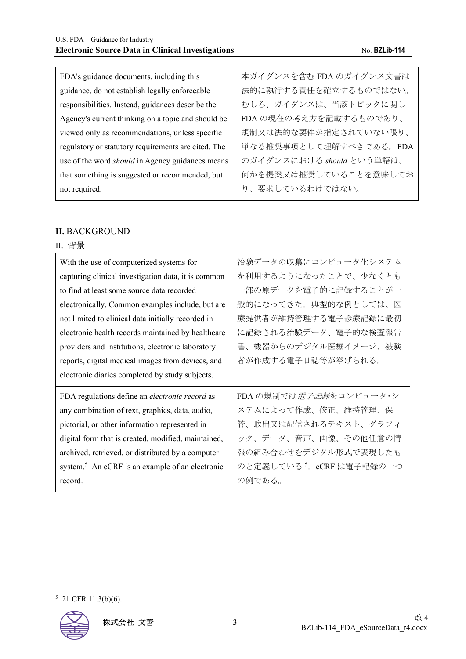| FDA's guidance documents, including this                | 本ガイダンスを含む FDA のガイダンス文書は   |
|---------------------------------------------------------|---------------------------|
| guidance, do not establish legally enforceable          | 法的に執行する責任を確立するものではない。     |
| responsibilities. Instead, guidances describe the       | むしろ、ガイダンスは、当該トピックに関し      |
| Agency's current thinking on a topic and should be      | FDA の現在の考え方を記載するものであり、    |
| viewed only as recommendations, unless specific         | 規制又は法的な要件が指定されていない限り、     |
| regulatory or statutory requirements are cited. The     | 単なる推奨事項として理解すべきである。FDA    |
| use of the word <i>should</i> in Agency guidances means | のガイダンスにおける should という単語は、 |
| that something is suggested or recommended, but         | 何かを提案又は推奨していることを意味してお     |
| not required.                                           | り、要求しているわけではない。           |

#### **II.** BACKGROUND

# II. 背景

| With the use of computerized systems for<br>capturing clinical investigation data, it is common<br>to find at least some source data recorded | 治験データの収集にコンピュータ化システム<br>を利用するようになったことで、少なくとも<br>一部の原データを電子的に記録することが一 |
|-----------------------------------------------------------------------------------------------------------------------------------------------|----------------------------------------------------------------------|
| electronically. Common examples include, but are                                                                                              | 般的になってきた。典型的な例としては、医                                                 |
| not limited to clinical data initially recorded in<br>electronic health records maintained by healthcare                                      | 療提供者が維持管理する電子診療記録に最初<br>に記録される治験データ、電子的な検査報告                         |
| providers and institutions, electronic laboratory                                                                                             | 書、機器からのデジタル医療イメージ、被験                                                 |
| reports, digital medical images from devices, and                                                                                             | 者が作成する電子日誌等が挙げられる。                                                   |
|                                                                                                                                               |                                                                      |
| electronic diaries completed by study subjects.                                                                                               |                                                                      |
| FDA regulations define an <i>electronic record</i> as                                                                                         | FDA の規制では <i>電子記録</i> をコンピュータ・シ                                      |
| any combination of text, graphics, data, audio,                                                                                               | ステムによって作成、修正、維持管理、保                                                  |
| pictorial, or other information represented in                                                                                                | 管、取出又は配信されるテキスト、グラフィ                                                 |
| digital form that is created, modified, maintained,                                                                                           | ック、データ、音声、画像、その他任意の情                                                 |
| archived, retrieved, or distributed by a computer                                                                                             | 報の組み合わせをデジタル形式で表現したも                                                 |
| system. <sup>5</sup> An eCRF is an example of an electronic                                                                                   | のと定義している <sup>5</sup> 。eCRFは電子記録の一つ                                  |

#### 5 21 CFR 11.3(b)(6).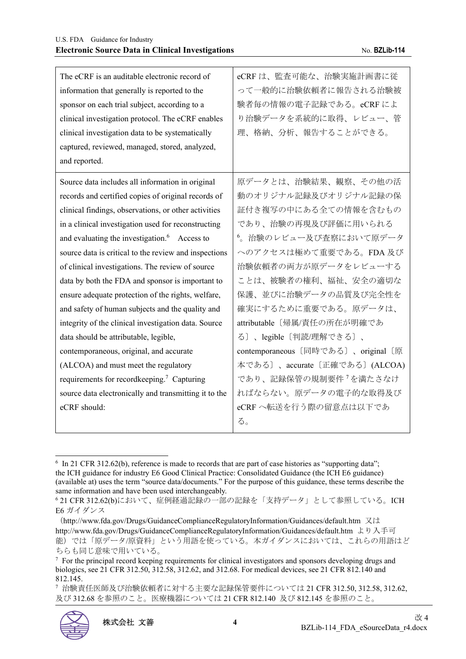| The eCRF is an auditable electronic record of<br>information that generally is reported to the<br>sponsor on each trial subject, according to a<br>clinical investigation protocol. The eCRF enables<br>clinical investigation data to be systematically<br>captured, reviewed, managed, stored, analyzed,<br>and reported. | eCRFは、監査可能な、治験実施計画書に従<br>って一般的に治験依頼者に報告される治験被<br>験者毎の情報の電子記録である。eCRFによ<br>り治験データを系統的に取得、レビュー、管<br>理、格納、分析、報告することができる。 |
|-----------------------------------------------------------------------------------------------------------------------------------------------------------------------------------------------------------------------------------------------------------------------------------------------------------------------------|-----------------------------------------------------------------------------------------------------------------------|
| Source data includes all information in original                                                                                                                                                                                                                                                                            | 原データとは、治験結果、観察、その他の活                                                                                                  |
| records and certified copies of original records of                                                                                                                                                                                                                                                                         | 動のオリジナル記録及びオリジナル記録の保                                                                                                  |
| clinical findings, observations, or other activities                                                                                                                                                                                                                                                                        | 証付き複写の中にある全ての情報を含むもの                                                                                                  |
| in a clinical investigation used for reconstructing                                                                                                                                                                                                                                                                         | であり、治験の再現及び評価に用いられる                                                                                                   |
| and evaluating the investigation. $6$ Access to                                                                                                                                                                                                                                                                             | 6。治験のレビュー及び査察において原データ                                                                                                 |
| source data is critical to the review and inspections                                                                                                                                                                                                                                                                       | へのアクセスは極めて重要である。FDA及び                                                                                                 |
| of clinical investigations. The review of source                                                                                                                                                                                                                                                                            | 治験依頼者の両方が原データをレビューする                                                                                                  |
| data by both the FDA and sponsor is important to                                                                                                                                                                                                                                                                            | ことは、被験者の権利、福祉、安全の適切な                                                                                                  |
| ensure adequate protection of the rights, welfare,                                                                                                                                                                                                                                                                          | 保護、並びに治験データの品質及び完全性を                                                                                                  |
| and safety of human subjects and the quality and                                                                                                                                                                                                                                                                            | 確実にするために重要である。原データは、                                                                                                  |
| integrity of the clinical investigation data. Source                                                                                                                                                                                                                                                                        | attributable 〔帰属/責任の所在が明確であ                                                                                           |
| data should be attributable, legible,                                                                                                                                                                                                                                                                                       | る〕、legible〔判読/理解できる〕、                                                                                                 |
| contemporaneous, original, and accurate                                                                                                                                                                                                                                                                                     | contemporaneous [同時である]、original [原                                                                                   |
| (ALCOA) and must meet the regulatory                                                                                                                                                                                                                                                                                        | 本である〕、accurate〔正確である〕(ALCOA)                                                                                          |
| requirements for recordkeeping. <sup>7</sup> Capturing                                                                                                                                                                                                                                                                      | であり、記録保管の規制要件 <sup>7</sup> を満たさなけ                                                                                     |
| source data electronically and transmitting it to the                                                                                                                                                                                                                                                                       | ればならない。原データの電子的な取得及び                                                                                                  |
| eCRF should:                                                                                                                                                                                                                                                                                                                | eCRFへ転送を行う際の留意点は以下であ                                                                                                  |
|                                                                                                                                                                                                                                                                                                                             | る。                                                                                                                    |

<sup>&</sup>lt;sup>6</sup> In 21 CFR 312.62(b), reference is made to records that are part of case histories as "supporting data"; the ICH guidance for industry E6 Good Clinical Practice: Consolidated Guidance (the ICH E6 guidance) (available at) uses the term "source data/documents." For the purpose of this guidance, these terms describe the same information and have been used interchangeably.

<sup>7</sup> 治験責任医師及び治験依頼者に対する主要な記録保管要件については 21 CFR 312.50, 312.58, 312.62, 及び 312.68 を参照のこと。医療機器については 21 CFR 812.140 及び 812.145 を参照のこと。



<sup>6</sup> 21 CFR 312.62(b)において、症例経過記録の一部の記録を「支持データ」として参照している。ICH E6 ガイダンス

<sup>(</sup>http://www.fda.gov/Drugs/GuidanceComplianceRegulatoryInformation/Guidances/default.htm 又は http://www.fda.gov/Drugs/GuidanceComplianceRegulatoryInformation/Guidances/default.htm より入手可 能)では「原データ/原資料」という用語を使っている。本ガイダンスにおいては、これらの用語はど ちらも同じ意味で用いている。

<sup>7</sup> For the principal record keeping requirements for clinical investigators and sponsors developing drugs and biologics, see 21 CFR 312.50, 312.58, 312.62, and 312.68. For medical devices, see 21 CFR 812.140 and 812.145.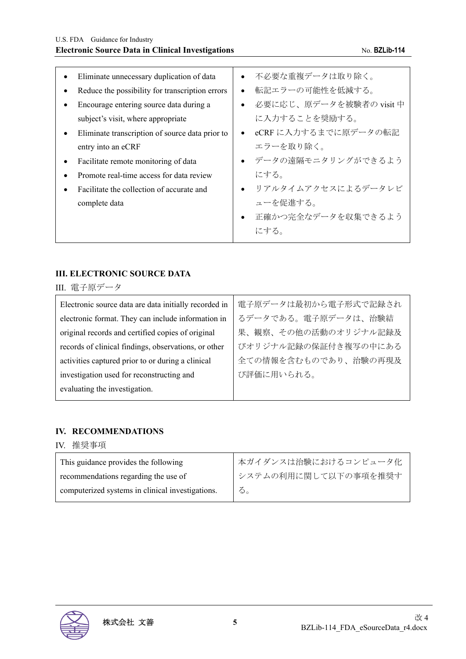| Eliminate unnecessary duplication of data       | 不必要な重複データは取り除く。<br>$\bullet$         |
|-------------------------------------------------|--------------------------------------|
| Reduce the possibility for transcription errors | 転記エラーの可能性を低減する。<br>$\bullet$         |
| Encourage entering source data during a         | 必要に応じ、原データを被験者の visit 中<br>$\bullet$ |
| subject's visit, where appropriate              | に入力することを奨励する。                        |
| Eliminate transcription of source data prior to | eCRFに入力するまでに原データの転記<br>$\bullet$     |
| entry into an eCRF                              | エラーを取り除く。                            |
| Facilitate remote monitoring of data            | • データの遠隔モニタリングができるよう                 |
| Promote real-time access for data review        | にする。                                 |
| Facilitate the collection of accurate and       | リアルタイムアクセスによるデータレビ<br>$\bullet$      |
| complete data                                   | ューを促進する。                             |
|                                                 | 正確かつ完全なデータを収集できるよう<br>$\bullet$      |
|                                                 | にする。                                 |
|                                                 |                                      |

#### **III. ELECTRONIC SOURCE DATA**

III. 電子原データ

 $\blacksquare$ 

| Electronic source data are data initially recorded in | 電子原データは最初から電子形式で記録され |
|-------------------------------------------------------|----------------------|
| electronic format. They can include information in    | るデータである。電子原データは、治験結  |
| original records and certified copies of original     | 果、観察、その他の活動のオリジナル記録及 |
| records of clinical findings, observations, or other  | びオリジナル記録の保証付き複写の中にある |
| activities captured prior to or during a clinical     | 全ての情報を含むものであり、治験の再現及 |
| investigation used for reconstructing and             | び評価に用いられる。           |
| evaluating the investigation.                         |                      |
|                                                       |                      |

## **IV. RECOMMENDATIONS**

| 推奨事項<br>IV |  |
|------------|--|
|------------|--|

| This guidance provides the following             | なガイダンスは治験におけるコンピュータ化   |
|--------------------------------------------------|------------------------|
| recommendations regarding the use of             | 1 システムの利用に関して以下の事項を推奨す |
| computerized systems in clinical investigations. | る。                     |

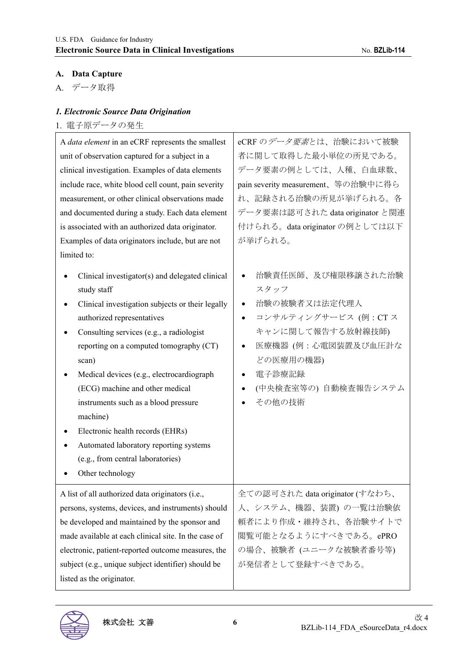$\overline{\mathbf{1}}$ 

# **A. Data Capture**

A. データ取得

# *1. Electronic Source Data Origination*

# 1. 電子原データの発生

| A data element in an eCRF represents the smallest                                                                                                                                                                                                                                                                                                                                                                                                                                                                           | eCRFのデータ要素とは、治験において被験                                                                                                                                                                              |
|-----------------------------------------------------------------------------------------------------------------------------------------------------------------------------------------------------------------------------------------------------------------------------------------------------------------------------------------------------------------------------------------------------------------------------------------------------------------------------------------------------------------------------|----------------------------------------------------------------------------------------------------------------------------------------------------------------------------------------------------|
| unit of observation captured for a subject in a                                                                                                                                                                                                                                                                                                                                                                                                                                                                             | 者に関して取得した最小単位の所見である。                                                                                                                                                                               |
| clinical investigation. Examples of data elements                                                                                                                                                                                                                                                                                                                                                                                                                                                                           | データ要素の例としては、人種、白血球数、                                                                                                                                                                               |
| include race, white blood cell count, pain severity                                                                                                                                                                                                                                                                                                                                                                                                                                                                         | pain severity measurement、等の治験中に得ら                                                                                                                                                                 |
| measurement, or other clinical observations made                                                                                                                                                                                                                                                                                                                                                                                                                                                                            | れ、記録される治験の所見が挙げられる。各                                                                                                                                                                               |
| and documented during a study. Each data element                                                                                                                                                                                                                                                                                                                                                                                                                                                                            | データ要素は認可された data originator と関連                                                                                                                                                                    |
| is associated with an authorized data originator.                                                                                                                                                                                                                                                                                                                                                                                                                                                                           | 付けられる。data originator の例としては以下                                                                                                                                                                     |
| Examples of data originators include, but are not                                                                                                                                                                                                                                                                                                                                                                                                                                                                           | が挙げられる。                                                                                                                                                                                            |
| limited to:                                                                                                                                                                                                                                                                                                                                                                                                                                                                                                                 |                                                                                                                                                                                                    |
| Clinical investigator(s) and delegated clinical<br>study staff<br>Clinical investigation subjects or their legally<br>authorized representatives<br>Consulting services (e.g., a radiologist<br>reporting on a computed tomography (CT)<br>scan)<br>Medical devices (e.g., electrocardiograph<br>(ECG) machine and other medical<br>instruments such as a blood pressure<br>machine)<br>Electronic health records (EHRs)<br>Automated laboratory reporting systems<br>(e.g., from central laboratories)<br>Other technology | 治験責任医師、及び権限移譲された治験<br>スタッフ<br>治験の被験者又は法定代理人<br>$\bullet$<br>コンサルティングサービス (例: CTス<br>$\bullet$<br>キャンに関して報告する放射線技師)<br>医療機器 (例:心電図装置及び血圧計な<br>どの医療用の機器)<br>電子診療記録<br>(中央検査室等の) 自動検査報告システム<br>その他の技術 |
| A list of all authorized data originators (i.e.,                                                                                                                                                                                                                                                                                                                                                                                                                                                                            | 全ての認可された data originator (すなわち、                                                                                                                                                                    |
| persons, systems, devices, and instruments) should                                                                                                                                                                                                                                                                                                                                                                                                                                                                          | 人、システム、機器、装置)の一覧は治験依                                                                                                                                                                               |
| be developed and maintained by the sponsor and                                                                                                                                                                                                                                                                                                                                                                                                                                                                              | 頼者により作成・維持され、各治験サイトで                                                                                                                                                                               |
| made available at each clinical site. In the case of                                                                                                                                                                                                                                                                                                                                                                                                                                                                        | 閲覧可能となるようにすべきである。ePRO                                                                                                                                                                              |
| electronic, patient-reported outcome measures, the                                                                                                                                                                                                                                                                                                                                                                                                                                                                          | の場合、被験者 (ユニークな被験者番号等)                                                                                                                                                                              |
| subject (e.g., unique subject identifier) should be                                                                                                                                                                                                                                                                                                                                                                                                                                                                         | が発信者として登録すべきである。                                                                                                                                                                                   |
| listed as the originator.                                                                                                                                                                                                                                                                                                                                                                                                                                                                                                   |                                                                                                                                                                                                    |

 $\top$ 

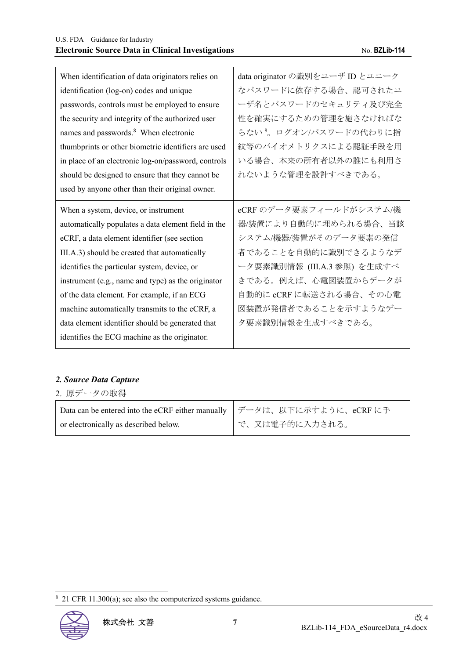| When identification of data originators relies on   | data originator の識別をユーザ ID とユニーク   |
|-----------------------------------------------------|------------------------------------|
| identification (log-on) codes and unique            | なパスワードに依存する場合、認可されたユ               |
| passwords, controls must be employed to ensure      | ーザ名とパスワードのセキュリティ及び完全               |
| the security and integrity of the authorized user   | 性を確実にするための管理を施さなければな               |
| names and passwords. <sup>8</sup> When electronic   | らない <sup>8</sup> 。ログオン/パスワードの代わりに指 |
| thumbprints or other biometric identifiers are used | 紋等のバイオメトリクスによる認証手段を用               |
| in place of an electronic log-on/password, controls | いる場合、本来の所有者以外の誰にも利用さ               |
| should be designed to ensure that they cannot be    | れないような管理を設計すべきである。                 |
| used by anyone other than their original owner.     |                                    |
|                                                     |                                    |
| When a system, device, or instrument                | eCRF のデータ要素フィールドがシステム/機            |
| automatically populates a data element field in the | 器/装置により自動的に埋められる場合、当該              |
| eCRF, a data element identifier (see section        | システム/機器/装置がそのデータ要素の発信              |
| III.A.3) should be created that automatically       | 者であることを自動的に識別できるようなデ               |
| identifies the particular system, device, or        | ータ要素識別情報 (III.A.3 参照) を生成すべ        |
| instrument (e.g., name and type) as the originator  | きである。例えば、心電図装置からデータが               |
| of the data element. For example, if an ECG         | 自動的に eCRF に転送される場合、その心電            |
| machine automatically transmits to the eCRF, a      | 図装置が発信者であることを示すようなデー               |
| data element identifier should be generated that    | タ要素識別情報を生成すべきである。                  |

#### *2. Source Data Capture*

or electronically as described below.

| 2. 原データの取得                                                    |  |
|---------------------------------------------------------------|--|
| Data can be entered into the eCRF either manually   データは、以下にえ |  |

示すように、eCRF に手 で、又は電子的に入力される。

<sup>&</sup>lt;sup>8</sup> 21 CFR 11.300(a); see also the computerized systems guidance.

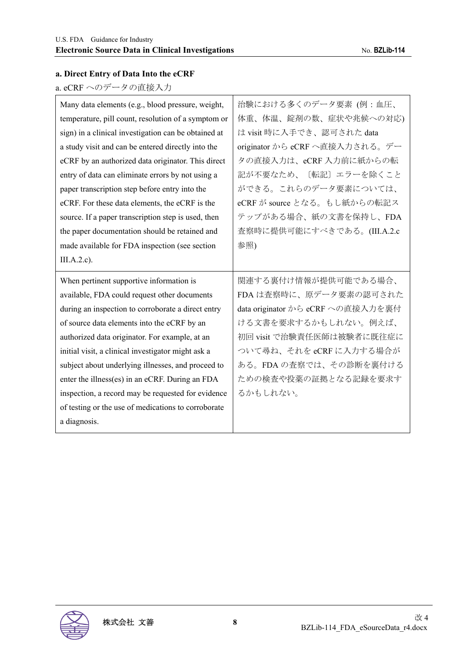# **a. Direct Entry of Data Into the eCRF**

a. eCRF へのデータの直接入力

| Many data elements (e.g., blood pressure, weight,    | 治験における多くのデータ要素 (例:血圧、             |
|------------------------------------------------------|-----------------------------------|
| temperature, pill count, resolution of a symptom or  | 体重、体温、錠剤の数、症状や兆候への対応)             |
| sign) in a clinical investigation can be obtained at | は visit 時に入手でき、認可された data         |
| a study visit and can be entered directly into the   | originator から eCRF へ直接入力される。デー    |
| eCRF by an authorized data originator. This direct   | タの直接入力は、eCRF 入力前に紙からの転            |
| entry of data can eliminate errors by not using a    | 記が不要なため、〔転記〕エラーを除くこと              |
| paper transcription step before entry into the       | ができる。これらのデータ要素については、              |
| eCRF. For these data elements, the eCRF is the       | eCRF が source となる。もし紙からの転記ス       |
| source. If a paper transcription step is used, then  | テップがある場合、紙の文書を保持し、FDA             |
| the paper documentation should be retained and       | 査察時に提供可能にすべきである。(III.A.2.c        |
| made available for FDA inspection (see section       | 参照)                               |
| $III.A.2.c$ ).                                       |                                   |
|                                                      |                                   |
| When pertinent supportive information is             | 関連する裏付け情報が提供可能である場合、              |
| available, FDA could request other documents         | FDAは査察時に、原データ要素の認可された             |
| during an inspection to corroborate a direct entry   | data originator から eCRF への直接入力を裏付 |
| of source data elements into the eCRF by an          | ける文書を要求するかもしれない。例えば、              |
| authorized data originator. For example, at an       | 初回 visit で治験責任医師は被験者に既往症に         |
| initial visit, a clinical investigator might ask a   | ついて尋ね、それを eCRF に入力する場合が           |
| subject about underlying illnesses, and proceed to   | ある。FDA の査察では、その診断を裏付ける            |
| enter the illness(es) in an eCRF. During an FDA      | ための検査や投薬の証拠となる記録を要求す              |
| inspection, a record may be requested for evidence   | るかもしれない。                          |
| of testing or the use of medications to corroborate  |                                   |

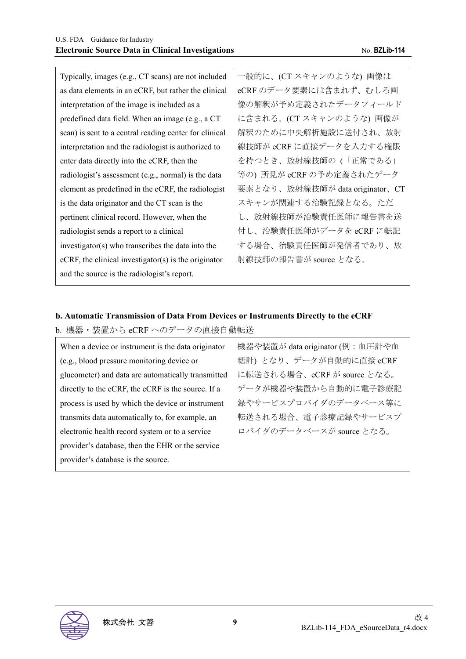| Typically, images (e.g., CT scans) are not included     | 一般的に、(CT スキャンのような) 画像は          |
|---------------------------------------------------------|---------------------------------|
| as data elements in an eCRF, but rather the clinical    | eCRF のデータ要素には含まれず、むしろ画          |
| interpretation of the image is included as a            | 像の解釈が予め定義されたデータフィールド            |
| predefined data field. When an image (e.g., a CT        | に含まれる。(CT スキャンのような) 画像が         |
| scan) is sent to a central reading center for clinical  | 解釈のために中央解析施設に送付され、放射            |
| interpretation and the radiologist is authorized to     | 線技師が eCRF に直接データを入力する権限         |
| enter data directly into the eCRF, then the             | を持つとき、放射線技師の(「正常である」            |
| radiologist's assessment (e.g., normal) is the data     | 等の) 所見が eCRF の予め定義されたデータ        |
| element as predefined in the eCRF, the radiologist      | 要素となり、放射線技師が data originator、CT |
| is the data originator and the CT scan is the           | スキャンが関連する治験記録となる。ただ             |
| pertinent clinical record. However, when the            | し、放射線技師が治験責任医師に報告書を送            |
| radiologist sends a report to a clinical                | 付し、治験責任医師がデータを eCRF に転記         |
| investigator(s) who transcribes the data into the       | する場合、治験責任医師が発信者であり、放            |
| $eCRF$ , the clinical investigator(s) is the originator | 射線技師の報告書が source となる。           |
| and the source is the radiologist's report.             |                                 |
|                                                         |                                 |

# **b. Automatic Transmission of Data From Devices or Instruments Directly to the eCRF**

#### b. 機器・装置から eCRF へのデータの直接自動転送

| When a device or instrument is the data originator | 機器や装置が data originator (例: 血圧計や血 |
|----------------------------------------------------|----------------------------------|
| (e.g., blood pressure monitoring device or         | 糖計)となり、データが自動的に直接 eCRF           |
| glucometer) and data are automatically transmitted | に転送される場合、eCRF が source となる。      |
| directly to the eCRF, the eCRF is the source. If a | データが機器や装置から自動的に電子診療記             |
| process is used by which the device or instrument  | 録やサービスプロバイダのデータベース等に             |
| transmits data automatically to, for example, an   | 転送される場合、電子診療記録やサービスプ             |
| electronic health record system or to a service    | ロバイダのデータベースが source となる。         |
| provider's database, then the EHR or the service   |                                  |
| provider's database is the source.                 |                                  |

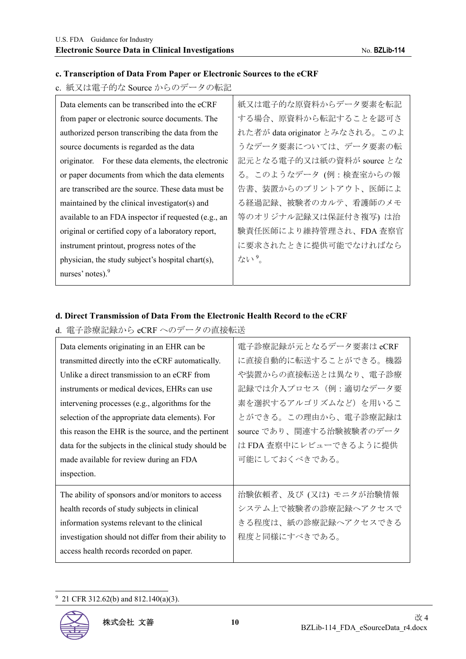#### **c. Transcription of Data From Paper or Electronic Sources to the eCRF**

# c. 紙又は電子的な Source からのデータの転記

| 紙又は電子的な原資料からデータ要素を転記            |
|---------------------------------|
| する場合、原資料から転記することを認可さ            |
| れた者が data originator とみなされる。このよ |
| うなデータ要素については、データ要素の転            |
| 記元となる電子的又は紙の資料が source とな       |
| る。このようなデータ (例:検査室からの報           |
| 告書、装置からのプリントアウト、医師によ            |
| る経過記録、被験者のカルテ、看護師のメモ            |
| 等のオリジナル記録又は保証付き複写)は治            |
| 験責任医師により維持管理され、FDA 査察官          |
| に要求されたときに提供可能でなければなら            |
| ない?                             |
|                                 |
|                                 |

#### **d. Direct Transmission of Data From the Electronic Health Record to the eCRF**

#### d. 電子診療記録から eCRF へのデータの直接転送

| Data elements originating in an EHR can be            | 電子診療記録が元となるデータ要素は eCRF   |
|-------------------------------------------------------|--------------------------|
| transmitted directly into the eCRF automatically.     | に直接自動的に転送することができる。機器     |
| Unlike a direct transmission to an eCRF from          | や装置からの直接転送とは異なり、電子診療     |
| instruments or medical devices, EHRs can use          | 記録では介入プロセス (例:適切なデータ要    |
| intervening processes (e.g., algorithms for the       | 素を選択するアルゴリズムなど)を用いるこ     |
| selection of the appropriate data elements). For      | とができる。この理由から、電子診療記録は     |
| this reason the EHR is the source, and the pertinent  | source であり、関連する治験被験者のデータ |
| data for the subjects in the clinical study should be | は FDA 査察中にレビューできるように提供   |
|                                                       |                          |
| made available for review during an FDA               | 可能にしておくべきである。            |
| inspection.                                           |                          |
| The ability of sponsors and/or monitors to access     | 治験依頼者、及び (又は) モニタが治験情報   |
| health records of study subjects in clinical          | システム上で被験者の診療記録へアクセスで     |
| information systems relevant to the clinical          | きる程度は、紙の診療記録へアクセスできる     |
| investigation should not differ from their ability to | 程度と同様にすべきである。            |

9 21 CFR 312.62(b) and 812.140(a)(3).

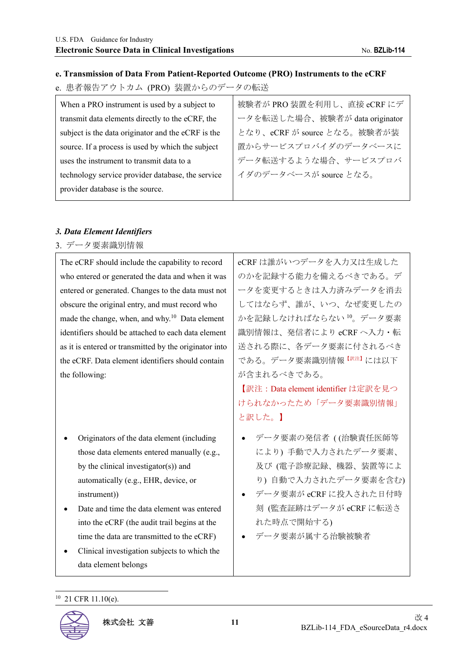#### **e. Transmission of Data From Patient-Reported Outcome (PRO) Instruments to the eCRF**

e. 患者報告アウトカム (PRO) 装置からのデータの転送

| When a PRO instrument is used by a subject to      | 被験者が PRO 装置を利用し、直接 eCRF にデ     |
|----------------------------------------------------|--------------------------------|
| transmit data elements directly to the eCRF, the   | ータを転送した場合、被験者が data originator |
| subject is the data originator and the eCRF is the | となり、eCRF が source となる。被験者が装    |
| source. If a process is used by which the subject  | 置からサービスプロバイダのデータベースに           |
| uses the instrument to transmit data to a          | データ転送するような場合、サービスプロバ           |
| technology service provider database, the service  | イダのデータベースが source となる。         |
| provider database is the source.                   |                                |
|                                                    |                                |

## *3. Data Element Identifiers*

3. データ要素識別情報

The eCRF should include the capability to record who entered or generated the data and when it was entered or generated. Changes to the data must not obscure the original entry, and must record who made the change, when, and why. $10$  Data element identifiers should be attached to each data element as it is entered or transmitted by the originator into the eCRF. Data element identifiers should contain the following:

- Originators of the data element (including those data elements entered manually (e.g., by the clinical investigator(s)) and automatically (e.g., EHR, device, or instrument))
- Date and time the data element was entered into the eCRF (the audit trail begins at the time the data are transmitted to the eCRF)
- Clinical investigation subjects to which the data element belongs

eCRF は誰がいつデータを入力又は生成した のかを記録する能力を備えるべきである。デ ータを変更するときは入力済みデータを消去 してはならず、誰が、いつ、なぜ変更したの かを記録しなければならない <sup>10</sup>。データ要素 識別情報は、発信者により eCRF へ入力・転 送される際に、各データ要素に付されるべき てある。データ要素識別情報【お注】には以下 が含まれるべきである。

【訳注:Data element identifier は定訳を見つ けられなかったため「データ要素識別情報」 と訳した。】

- データ要素の発信者 ( (治験責任医師等 により) 手動で入力されたデータ要素、 及び (電子診療記録、機器、装置等によ り) 自動で入力されたデータ要素を含む)
- データ要素が eCRF に投入された日付時 刻 (監査証跡はデータが eCRF に転送さ れた時点で開始する)

データ要素が属する治験被験者

<sup>10 21</sup> CFR 11.10(e).

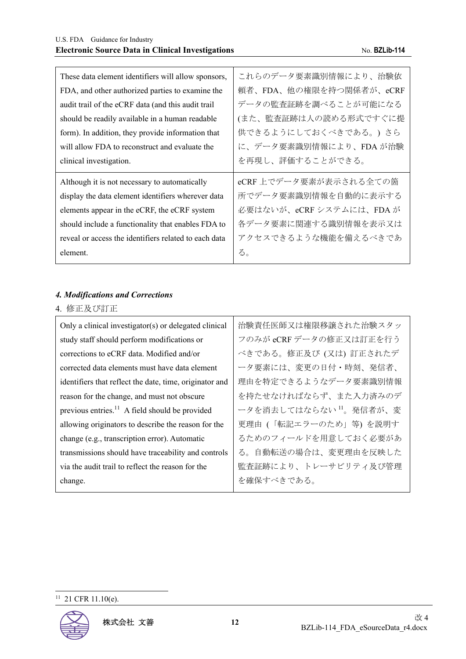| These data element identifiers will allow sponsors,   | これらのデータ要素識別情報により、治験依    |
|-------------------------------------------------------|-------------------------|
| FDA, and other authorized parties to examine the      | 頼者、FDA、他の権限を持つ関係者が、eCRF |
| audit trail of the eCRF data (and this audit trail    | データの監査証跡を調べることが可能になる    |
| should be readily available in a human readable       | (また、監査証跡は人の読める形式ですぐに提   |
| form). In addition, they provide information that     | 供できるようにしておくべきである。) さら   |
| will allow FDA to reconstruct and evaluate the        | に、データ要素識別情報により、FDA が治験  |
| clinical investigation.                               | を再現し、評価することができる。        |
|                                                       |                         |
| Although it is not necessary to automatically         | eCRF上でデータ要素が表示される全ての箇   |
| display the data element identifiers wherever data    | 所でデータ要素識別情報を自動的に表示する    |
| elements appear in the eCRF, the eCRF system          | 必要はないが、eCRFシステムには、FDAが  |
| should include a functionality that enables FDA to    | 各データ要素に関連する識別情報を表示又は    |
| reveal or access the identifiers related to each data | アクセスできるような機能を備えるべきであ    |

#### *4. Modifications and Corrections*

4. 修正及び訂正

| Only a clinical investigator(s) or delegated clinical      | 治験責任医師又は権限移譲された治験スタッ               |
|------------------------------------------------------------|------------------------------------|
| study staff should perform modifications or                | フのみが eCRF データの修正又は訂正を行う            |
| corrections to eCRF data. Modified and/or                  | べきである。修正及び (又は) 訂正されたデ             |
| corrected data elements must have data element             | ータ要素には、変更の日付・時刻、発信者、               |
| identifiers that reflect the date, time, originator and    | 理由を特定できるようなデータ要素識別情報               |
| reason for the change, and must not obscure                | を持たせなければならず、また入力済みのデ               |
| previous entries. <sup>11</sup> A field should be provided | ータを消去してはならない <sup>11</sup> 。発信者が、変 |
| allowing originators to describe the reason for the        | 更理由 (「転記エラーのため」等) を説明す             |
| change (e.g., transcription error). Automatic              | るためのフィールドを用意しておく必要があ               |
| transmissions should have traceability and controls        | る。自動転送の場合は、変更理由を反映した               |
| via the audit trail to reflect the reason for the          | 監査証跡により、トレーサビリティ及び管理               |
| change.                                                    | を確保すべきである。                         |

#### $11$  21 CFR 11.10(e).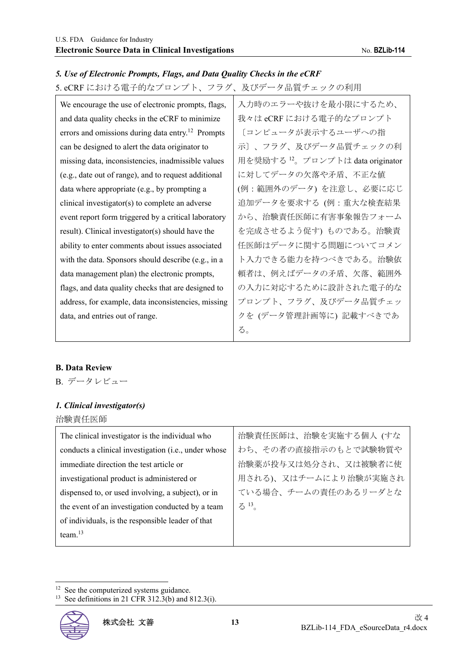ability to enter comments about issues associated with the data. Sponsors should describe (e.g., in a data management plan) the electronic prompts, flags, and data quality checks that are designed to address, for example, data inconsistencies, missing 任医師はデータに関する問題についてコメン ト入力できる能力を持つべきである。治験依 頼者は、例えばデータの矛盾、欠落、範囲外 の入力に対応するために設計された電子的な プロンプト、フラグ、及びデータ品質チェッ クを (データ管理計画等に) 記載すべきであ

#### We encourage the use of electronic prompts, flags, and data quality checks in the eCRF to minimize errors and omissions during data entry.<sup>12</sup> Prompts can be designed to alert the data originator to missing data, inconsistencies, inadmissible values (e.g., date out of range), and to request additional data where appropriate (e.g., by prompting a clinical investigator(s) to complete an adverse event report form triggered by a critical laboratory result). Clinical investigator(s) should have the 入力時のエラーや抜けを最小限にするため、 我々は eCRF における電子的なプロンプト 〔コンピュータが表示するユーザへの指 示〕、フラグ、及びデータ品質チェックの利 用を奨励する <sup>12</sup>。プロンプトは data originator に対してデータの欠落や矛盾、不正な値 (例:範囲外のデータ) を注意し、必要に応じ 追加データを要求する (例:重大な検査結果 から、治験責任医師に有害事象報告フォーム を完成させるよう促す) ものである。治験責

#### *5. Use of Electronic Prompts, Flags, and Data Quality Checks in the eCRF*

5. eCRF における電子的なプロンプト、フラグ、及びデータ品質チェックの利用

#### **B. Data Review**

B. データレビュー

#### *1. Clinical investigator(s)*

data, and entries out of range.

治験責任医師

| The clinical investigator is the individual who      | 治験責任医師は、治験を実施する個人 (すな |
|------------------------------------------------------|-----------------------|
| conducts a clinical investigation (i.e., under whose | わち、その者の直接指示のもとで試験物質や  |
| immediate direction the test article or              | 治験薬が投与又は処分され、又は被験者に使  |
| investigational product is administered or           | 用される)、又はチームにより治験が実施され |
| dispensed to, or used involving, a subject), or in   | ている場合、チームの責任のあるリーダとな  |
| the event of an investigation conducted by a team    | $5^{13}$              |
| of individuals, is the responsible leader of that    |                       |
| team. $^{13}$                                        |                       |
|                                                      |                       |

る。

<sup>12</sup> See the computerized systems guidance.

<sup>&</sup>lt;sup>13</sup> See definitions in 21 CFR 312.3(b) and 812.3(i).

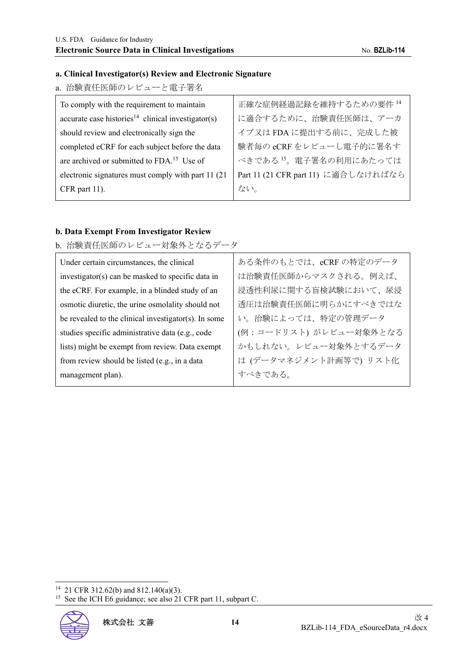#### **a. Clinical Investigator(s) Review and Electronic Signature**

a. 治験責任医師のレビューと電子署名

| To comply with the requirement to maintain                     | 正確な症例経過記録を維持するための要件14               |
|----------------------------------------------------------------|-------------------------------------|
| accurate case histories <sup>14</sup> clinical investigator(s) | に適合するために、治験責任医師は、アーカ                |
| should review and electronically sign the                      | イブ又はFDAに提出する前に、完成した被                |
| completed eCRF for each subject before the data                | 験者毎の eCRF をレビューし電子的に署名す             |
| are archived or submitted to FDA. <sup>15</sup> Use of         | べきである <sup>15</sup> 。電子署名の利用にあたっては  |
| electronic signatures must comply with part 11 (21)            | Part 11 (21 CFR part 11) に適合しなければなら |
| $CFR$ part 11).                                                | ない。                                 |
|                                                                |                                     |

#### **b. Data Exempt From Investigator Review**

b. 治験責任医師のレビュー対象外となるデータ

| Under certain circumstances, the clinical            | ある条件のもとでは、eCRFの特定のデータ  |
|------------------------------------------------------|------------------------|
| investigator(s) can be masked to specific data in    | は治験責任医師からマスクされる。例えば、   |
| the eCRF. For example, in a blinded study of an      | 浸透性利尿に関する盲検試験において、尿浸   |
| osmotic diuretic, the urine osmolality should not    | 透圧は治験責任医師に明らかにすべきではな   |
| be revealed to the clinical investigator(s). In some | い。治験によっては、特定の管理データ     |
| studies specific administrative data (e.g., code     | (例:コードリスト)がレビュー対象外となる  |
| lists) might be exempt from review. Data exempt      | かもしれない。レビュー対象外とするデータ   |
| from review should be listed (e.g., in a data        | は (データマネジメント計画等で) リスト化 |
| management plan).                                    | すべきである。                |

<sup>&</sup>lt;sup>15</sup> See the ICH E6 guidance; see also 21 CFR part 11, subpart C.



<sup>14 21</sup> CFR 312.62(b) and 812.140(a)(3).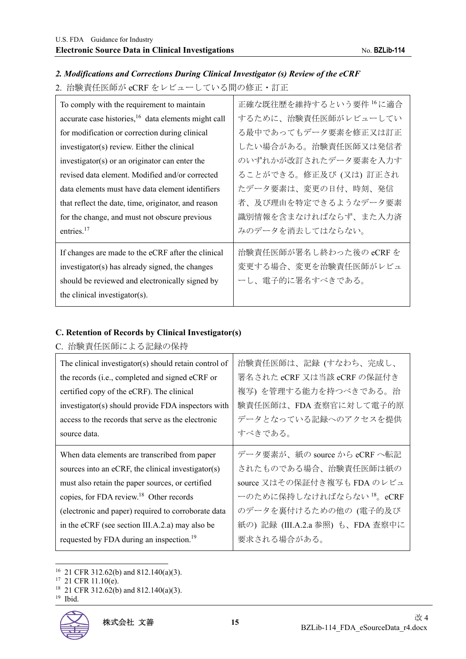#### *2. Modifications and Corrections During Clinical Investigator (s) Review of the eCRF*

2. 治験責任医師が eCRF をレビューしている間の修正・訂正

| To comply with the requirement to maintain                      | 正確な既往歴を維持するという要件 16 に適合 |
|-----------------------------------------------------------------|-------------------------|
| accurate case histories, <sup>16</sup> data elements might call | するために、治験責任医師がレビューしてい    |
| for modification or correction during clinical                  | る最中であってもデータ要素を修正又は訂正    |
| investigator(s) review. Either the clinical                     | したい場合がある。治験責任医師又は発信者    |
| investigator(s) or an originator can enter the                  | のいずれかが改訂されたデータ要素を入力す    |
| revised data element. Modified and/or corrected                 | ることができる。修正及び (又は) 訂正され  |
| data elements must have data element identifiers                | たデータ要素は、変更の日付、時刻、発信     |
| that reflect the date, time, originator, and reason             | 者、及び理由を特定できるようなデータ要素    |
| for the change, and must not obscure previous                   | 識別情報を含まなければならず、また入力済    |
| entries. $17$                                                   | みのデータを消去してはならない。        |
| If changes are made to the eCRF after the clinical              | 治験責任医師が署名し終わった後の eCRF を |
| investigator(s) has already signed, the changes                 | 変更する場合、変更を治験責任医師がレビュ    |
| should be reviewed and electronically signed by                 | ーし、電子的に署名すべきである。        |
| the clinical investigator(s).                                   |                         |

#### **C. Retention of Records by Clinical Investigator(s)**

C. 治験責任医師による記録の保持

| The clinical investigator(s) should retain control of | 治験責任医師は、記録 (すなわち、完成し、                |
|-------------------------------------------------------|--------------------------------------|
| the records (i.e., completed and signed eCRF or       | 署名された eCRF 又は当該 eCRF の保証付き           |
| certified copy of the eCRF). The clinical             | 複写)を管理する能力を持つべきである。治                 |
| investigator(s) should provide FDA inspectors with    | 験責任医師は、FDA 査察官に対して電子的原               |
| access to the records that serve as the electronic    | データとなっている記録へのアクセスを提供                 |
| source data.                                          | すべきである。                              |
| When data elements are transcribed from paper         | データ要素が、紙の source から eCRF へ転記         |
| sources into an eCRF, the clinical investigator(s)    | されたものである場合、治験責任医師は紙の                 |
| must also retain the paper sources, or certified      | source 又はその保証付き複写も FDA のレビュ          |
| copies, for FDA review. <sup>18</sup> Other records   | ーのために保持しなければならない <sup>18</sup> 。eCRF |
| (electronic and paper) required to corroborate data   | のデータを裏付けるための他の (電子的及び                |
| in the eCRF (see section III.A.2.a) may also be       | 紙の)記録 (III.A.2.a 参照) も、FDA 査察中に      |
| requested by FDA during an inspection. <sup>19</sup>  | 要求される場合がある。                          |

16 21 CFR 312.62(b) and 812.140(a)(3).

<sup>&</sup>lt;sup>17</sup> 21 CFR 11.10(e).

<sup>&</sup>lt;sup>18</sup> 21 CFR 312.62(b) and 812.140(a)(3).

<sup>19</sup> Ibid.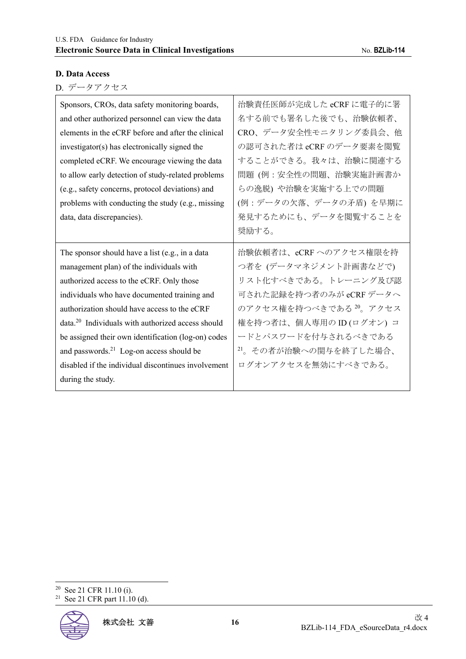#### **D. Data Access**

|  |  |  |  |  | D. データアクセス |  |
|--|--|--|--|--|------------|--|
|--|--|--|--|--|------------|--|

| Sponsors, CROs, data safety monitoring boards,                | 治験責任医師が完成した eCRF に電子的に署 |
|---------------------------------------------------------------|-------------------------|
| and other authorized personnel can view the data              | 名する前でも署名した後でも、治験依頼者、    |
| elements in the eCRF before and after the clinical            | CRO、データ安全性モニタリング委員会、他   |
| investigator(s) has electronically signed the                 | の認可された者は eCRF のデータ要素を閲覧 |
| completed eCRF. We encourage viewing the data                 | することができる。我々は、治験に関連する    |
| to allow early detection of study-related problems            | 問題 (例:安全性の問題、治験実施計画書か   |
| (e.g., safety concerns, protocol deviations) and              | らの逸脱) や治験を実施する上での問題     |
| problems with conducting the study (e.g., missing             | (例:データの欠落、データの矛盾)を早期に   |
| data, data discrepancies).                                    | 発見するためにも、データを閲覧することを    |
|                                                               | 奨励する。                   |
|                                                               |                         |
| The sponsor should have a list (e.g., in a data               | 治験依頼者は、eCRFへのアクセス権限を持   |
| management plan) of the individuals with                      | つ者を (データマネジメント計画書などで)   |
| authorized access to the eCRF. Only those                     | リスト化すべきである。トレーニング及び認    |
| individuals who have documented training and                  | 可された記録を持つ者のみが eCRF データへ |
| authorization should have access to the eCRF                  | のアクセス権を持つべきである 20。アクセス  |
| data. <sup>20</sup> Individuals with authorized access should | 権を持つ者は、個人専用の ID(ログオン) コ |
| be assigned their own identification (log-on) codes           | ードとパスワードを付与されるべきである     |
| and passwords. <sup>21</sup> Log-on access should be          | 21。その者が治験への関与を終了した場合、   |
| disabled if the individual discontinues involvement           | ログオンアクセスを無効にすべきである。     |

 $20$  See 21 CFR 11.10 (i).

<sup>21</sup> See 21 CFR part 11.10 (d).

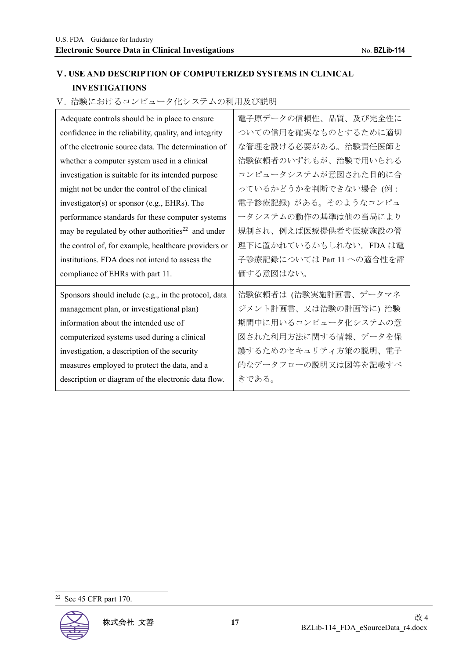# Ⅴ**. USE AND DESCRIPTION OF COMPUTERIZED SYSTEMS IN CLINICAL INVESTIGATIONS**

Ⅴ. 治験におけるコンピュータ化システムの利用及び説明

| Adequate controls should be in place to ensure                | 電子原データの信頼性、品質、及び完全性に       |
|---------------------------------------------------------------|----------------------------|
| confidence in the reliability, quality, and integrity         | ついての信用を確実なものとするために適切       |
| of the electronic source data. The determination of           | な管理を設ける必要がある。治験責任医師と       |
| whether a computer system used in a clinical                  | 治験依頼者のいずれもが、治験で用いられる       |
| investigation is suitable for its intended purpose            | コンピュータシステムが意図された目的に合       |
| might not be under the control of the clinical                | っているかどうかを判断できない場合 (例:      |
| investigator(s) or sponsor (e.g., EHRs). The                  | 電子診療記録) がある。そのようなコンピュ      |
| performance standards for these computer systems              | ータシステムの動作の基準は他の当局により       |
| may be regulated by other authorities <sup>22</sup> and under | 規制され、例えば医療提供者や医療施設の管       |
| the control of, for example, healthcare providers or          | 理下に置かれているかもしれない。FDA は電     |
|                                                               |                            |
| institutions. FDA does not intend to assess the               | 子診療記録については Part 11 への適合性を評 |
| compliance of EHRs with part 11.                              | 価する意図はない。                  |
| Sponsors should include (e.g., in the protocol, data          | 治験依頼者は (治験実施計画書、データマネ      |
| management plan, or investigational plan)                     | ジメント計画書、又は治験の計画等に) 治験      |
| information about the intended use of                         | 期間中に用いるコンピュータ化システムの意       |
| computerized systems used during a clinical                   | 図された利用方法に関する情報、データを保       |
| investigation, a description of the security                  | 護するためのセキュリティ方策の説明、電子       |
| measures employed to protect the data, and a                  | 的なデータフローの説明又は図等を記載すべ       |

<sup>22</sup> See 45 CFR part 170.